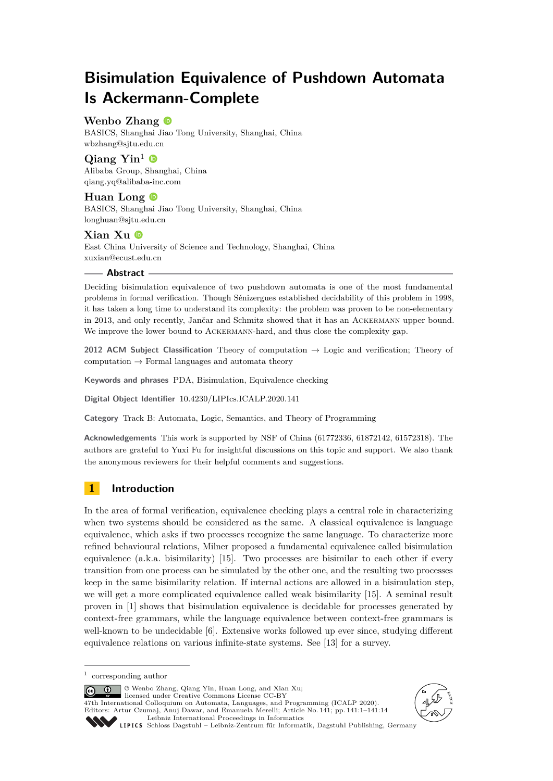# **Bisimulation Equivalence of Pushdown Automata Is Ackermann-Complete**

# **Wenbo Zhang**

BASICS, Shanghai Jiao Tong University, Shanghai, China [wbzhang@sjtu.edu.cn](mailto:wbzhang@sjtu.edu.cn)

# Qiang Yin<sup>1</sup>  $\bullet$

Alibaba Group, Shanghai, China [qiang.yq@alibaba-inc.com](mailto:qiang.yq@alibaba-inc.com)

# Huan Long<sup><sup>6</sup></sup>

BASICS, Shanghai Jiao Tong University, Shanghai, China [longhuan@sjtu.edu.cn](mailto:longhuan@sjtu.edu.cn)

# **Xian Xu**

East China University of Science and Technology, Shanghai, China [xuxian@ecust.edu.cn](mailto:xuxian@ecust.edu.cn)

## **Abstract**

Deciding bisimulation equivalence of two pushdown automata is one of the most fundamental problems in formal verification. Though Sénizergues established decidability of this problem in 1998, it has taken a long time to understand its complexity: the problem was proven to be non-elementary in 2013, and only recently, Jančar and Schmitz showed that it has an Ackermann upper bound. We improve the lower bound to ACKERMANN-hard, and thus close the complexity gap.

**2012 ACM Subject Classification** Theory of computation → Logic and verification; Theory of computation  $\rightarrow$  Formal languages and automata theory

**Keywords and phrases** PDA, Bisimulation, Equivalence checking

**Digital Object Identifier** [10.4230/LIPIcs.ICALP.2020.141](https://doi.org/10.4230/LIPIcs.ICALP.2020.141)

**Category** Track B: Automata, Logic, Semantics, and Theory of Programming

**Acknowledgements** This work is supported by NSF of China (61772336, 61872142, 61572318). The authors are grateful to Yuxi Fu for insightful discussions on this topic and support. We also thank the anonymous reviewers for their helpful comments and suggestions.

# **1 Introduction**

In the area of formal verification, equivalence checking plays a central role in characterizing when two systems should be considered as the same. A classical equivalence is language equivalence, which asks if two processes recognize the same language. To characterize more refined behavioural relations, Milner proposed a fundamental equivalence called bisimulation equivalence (a.k.a. bisimilarity) [\[15\]](#page-13-0). Two processes are bisimilar to each other if every transition from one process can be simulated by the other one, and the resulting two processes keep in the same bisimilarity relation. If internal actions are allowed in a bisimulation step, we will get a more complicated equivalence called weak bisimilarity [\[15\]](#page-13-0). A seminal result proven in [\[1\]](#page-12-0) shows that bisimulation equivalence is decidable for processes generated by context-free grammars, while the language equivalence between context-free grammars is well-known to be undecidable [\[6\]](#page-13-1). Extensive works followed up ever since, studying different equivalence relations on various infinite-state systems. See [\[13\]](#page-13-2) for a survey.

© Wenbo Zhang, Qiang Yin, Huan Long, and Xian Xu; licensed under Creative Commons License CC-BY

47th International Colloquium on Automata, Languages, and Programming (ICALP 2020). Editors: Artur Czumaj, Anuj Dawar, and Emanuela Merelli; Article No. 141; pp. 141:1–141[:14](#page-13-3) [Leibniz International Proceedings in Informatics](https://www.dagstuhl.de/lipics/)





<sup>1</sup> corresponding author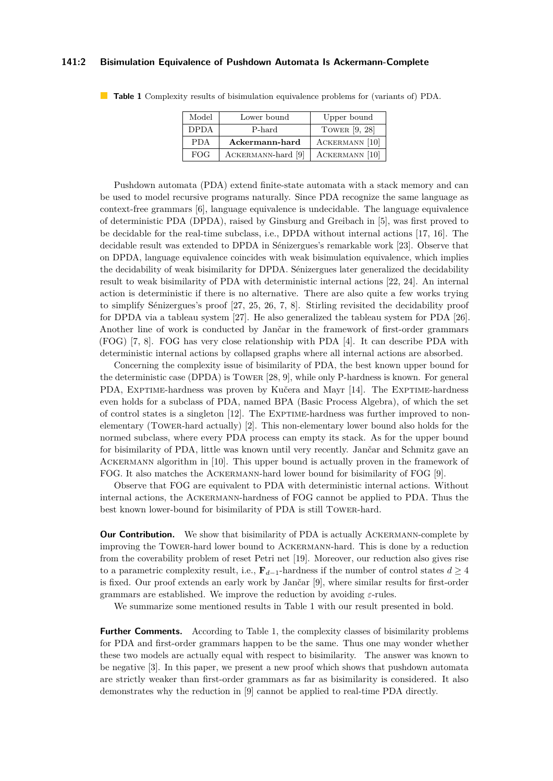#### **141:2 Bisimulation Equivalence of Pushdown Automata Is Ackermann-Complete**

| Model       | Lower bound        | Upper bound     |
|-------------|--------------------|-----------------|
| <b>DPDA</b> | P-hard             | TOWER $[9, 28]$ |
| <b>PDA</b>  | Ackermann-hard     | ACKERMANN [10]  |
| <b>FOG</b>  | ACKERMANN-hard [9] | ACKERMANN [10]  |

<span id="page-1-0"></span>**Table 1** Complexity results of bisimulation equivalence problems for (variants of) PDA.

Pushdown automata (PDA) extend finite-state automata with a stack memory and can be used to model recursive programs naturally. Since PDA recognize the same language as context-free grammars [\[6\]](#page-13-1), language equivalence is undecidable. The language equivalence of deterministic PDA (DPDA), raised by Ginsburg and Greibach in [\[5\]](#page-12-1), was first proved to be decidable for the real-time subclass, i.e., DPDA without internal actions [\[17,](#page-13-7) [16\]](#page-13-8). The decidable result was extended to DPDA in Sénizergues's remarkable work [\[23\]](#page-13-9). Observe that on DPDA, language equivalence coincides with weak bisimulation equivalence, which implies the decidability of weak bisimilarity for DPDA. Sénizergues later generalized the decidability result to weak bisimilarity of PDA with deterministic internal actions [\[22,](#page-13-10) [24\]](#page-13-11). An internal action is deterministic if there is no alternative. There are also quite a few works trying to simplify Sénizergues's proof [\[27,](#page-13-12) [25,](#page-13-13) [26,](#page-13-14) [7,](#page-13-15) [8\]](#page-13-16). Stirling revisited the decidability proof for DPDA via a tableau system [\[27\]](#page-13-12). He also generalized the tableau system for PDA [\[26\]](#page-13-14). Another line of work is conducted by Jančar in the framework of first-order grammars (FOG) [\[7,](#page-13-15) [8\]](#page-13-16). FOG has very close relationship with PDA [\[4\]](#page-12-2). It can describe PDA with deterministic internal actions by collapsed graphs where all internal actions are absorbed.

Concerning the complexity issue of bisimilarity of PDA, the best known upper bound for the deterministic case (DPDA) is Tower [\[28,](#page-13-5) [9\]](#page-13-4), while only P-hardness is known. For general PDA, EXPTIME-hardness was proven by Kučera and Mayr [\[14\]](#page-13-17). The EXPTIME-hardness even holds for a subclass of PDA, named BPA (Basic Process Algebra), of which the set of control states is a singleton [\[12\]](#page-13-18). The Exptime-hardness was further improved to nonelementary (Tower-hard actually) [\[2\]](#page-12-3). This non-elementary lower bound also holds for the normed subclass, where every PDA process can empty its stack. As for the upper bound for bisimilarity of PDA, little was known until very recently. Jančar and Schmitz gave an Ackermann algorithm in [\[10\]](#page-13-6). This upper bound is actually proven in the framework of FOG. It also matches the Ackermann-hard lower bound for bisimilarity of FOG [\[9\]](#page-13-4).

Observe that FOG are equivalent to PDA with deterministic internal actions. Without internal actions, the Ackermann-hardness of FOG cannot be applied to PDA. Thus the best known lower-bound for bisimilarity of PDA is still Tower-hard.

**Our Contribution.** We show that bisimilarity of PDA is actually ACKERMANN-complete by improving the Tower-hard lower bound to Ackermann-hard. This is done by a reduction from the coverability problem of reset Petri net [\[19\]](#page-13-19). Moreover, our reduction also gives rise to a parametric complexity result, i.e.,  $\mathbf{F}_{d-1}$ -hardness if the number of control states  $d \geq 4$ is fixed. Our proof extends an early work by Jančar [\[9\]](#page-13-4), where similar results for first-order grammars are established. We improve the reduction by avoiding *ε*-rules.

We summarize some mentioned results in Table [1](#page-1-0) with our result presented in bold.

**Further Comments.** According to Table [1,](#page-1-0) the complexity classes of bisimilarity problems for PDA and first-order grammars happen to be the same. Thus one may wonder whether these two models are actually equal with respect to bisimilarity. The answer was known to be negative [\[3\]](#page-12-4). In this paper, we present a new proof which shows that pushdown automata are strictly weaker than first-order grammars as far as bisimilarity is considered. It also demonstrates why the reduction in [\[9\]](#page-13-4) cannot be applied to real-time PDA directly.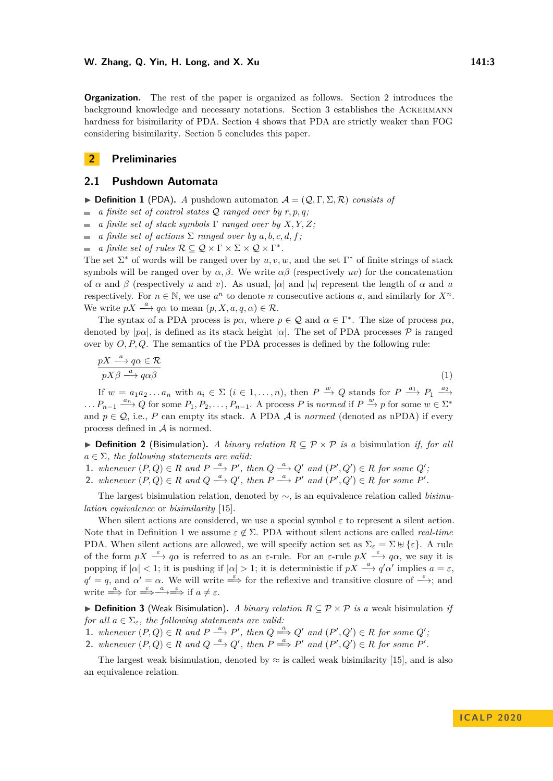**Organization.** The rest of the paper is organized as follows. Section [2](#page-2-0) introduces the background knowledge and necessary notations. Section [3](#page-4-0) establishes the Ackermann hardness for bisimilarity of PDA. Section [4](#page-10-0) shows that PDA are strictly weaker than FOG considering bisimilarity. Section [5](#page-12-5) concludes this paper.

# <span id="page-2-0"></span>**2 Preliminaries**

# **2.1 Pushdown Automata**

<span id="page-2-1"></span>**Definition 1** (PDA). *A* pushdown automaton  $\mathcal{A} = (\mathcal{Q}, \Gamma, \Sigma, \mathcal{R})$  consists of

- $\blacksquare$  *a finite set of control states*  $\mathcal Q$  *ranged over by*  $r, p, q$ ;
- *a finite set of stack symbols* Γ *ranged over by X, Y, Z;*  $\sim$
- $\mathcal{L}_{\mathcal{A}}$ *a finite set of actions*  $\Sigma$  *ranged over by*  $a, b, c, d, f$ ;
- *a finite set of rules*  $\mathcal{R} \subseteq \mathcal{Q} \times \Gamma \times \Sigma \times \mathcal{Q} \times \Gamma^*$ .

The set  $\Sigma^*$  of words will be ranged over by  $u, v, w$ , and the set  $\Gamma^*$  of finite strings of stack symbols will be ranged over by  $\alpha, \beta$ . We write  $\alpha\beta$  (respectively *uv*) for the concatenation of  $\alpha$  and  $\beta$  (respectively *u* and *v*). As usual,  $|\alpha|$  and  $|u|$  represent the length of  $\alpha$  and *u* respectively. For  $n \in \mathbb{N}$ , we use  $a^n$  to denote *n* consecutive actions *a*, and similarly for  $X^n$ . We write  $pX \stackrel{a}{\longrightarrow} q\alpha$  to mean  $(p, X, a, q, \alpha) \in \mathcal{R}$ .

The syntax of a PDA process is  $p\alpha$ , where  $p \in \mathcal{Q}$  and  $\alpha \in \Gamma^*$ . The size of process  $p\alpha$ , denoted by  $|p\alpha|$ , is defined as its stack height  $|\alpha|$ . The set of PDA processes  $\mathcal P$  is ranged over by *O, P, Q*. The semantics of the PDA processes is defined by the following rule:

$$
\frac{pX \xrightarrow{a} q\alpha \in \mathcal{R}}{pX\beta \xrightarrow{a} q\alpha\beta} \tag{1}
$$

If  $w = a_1 a_2 \dots a_n$  with  $a_i \in \Sigma$   $(i \in 1, \dots, n)$ , then  $P \stackrel{w}{\to} Q$  stands for  $P \stackrel{a_1}{\longrightarrow} P_1 \stackrel{a_2}{\longrightarrow}$  $\ldots P_{n-1} \stackrel{a_n}{\longrightarrow} Q$  for some  $P_1, P_2, \ldots, P_{n-1}$ . A process *P* is *normed* if  $P \stackrel{w}{\longrightarrow} p$  for some  $w \in \Sigma^*$ and  $p \in \mathcal{Q}$ , i.e., *P* can empty its stack. A PDA  $\mathcal{A}$  is *normed* (denoted as nPDA) if every process defined in A is normed.

**▶ Definition 2** (Bisimulation). *A binary relation*  $R ⊆ P × P$  *is a* bisimulation *if, for all*  $a \in \Sigma$ , the following statements are valid:

**1.** whenever  $(P,Q) \in R$  and  $P \stackrel{a}{\longrightarrow} P'$ , then  $Q \stackrel{a}{\longrightarrow} Q'$  and  $(P',Q') \in R$  for some  $Q'$ ;

2. whenever  $(P,Q) \in R$  and  $Q \stackrel{a}{\longrightarrow} Q'$ , then  $P \stackrel{a}{\longrightarrow} P'$  and  $(P',Q') \in R$  for some  $P'$ .

The largest bisimulation relation, denoted by ∼, is an equivalence relation called *bisimulation equivalence* or *bisimilarity* [\[15\]](#page-13-0).

When silent actions are considered, we use a special symbol  $\varepsilon$  to represent a silent action. Note that in Definition [1](#page-2-1) we assume  $\varepsilon \notin \Sigma$ . PDA without silent actions are called *real-time* PDA. When silent actions are allowed, we will specify action set as  $\Sigma_{\varepsilon} = \Sigma \oplus \{\varepsilon\}$ . A rule of the form  $pX \xrightarrow{\varepsilon} q\alpha$  is referred to as an  $\varepsilon$ -rule. For an  $\varepsilon$ -rule  $pX \xrightarrow{\varepsilon} q\alpha$ , we say it is popping if  $|\alpha| < 1$ ; it is pushing if  $|\alpha| > 1$ ; it is deterministic if  $pX \stackrel{a}{\longrightarrow} q'\alpha'$  implies  $a = \varepsilon$ ,  $q' = q$ , and  $\alpha' = \alpha$ . We will write  $\stackrel{\varepsilon}{\Longrightarrow}$  for the reflexive and transitive closure of  $\stackrel{\varepsilon}{\longrightarrow}$ ; and write  $\stackrel{a}{\Longrightarrow}$  for  $\stackrel{\varepsilon}{\Longrightarrow} \stackrel{a}{\Longrightarrow} \stackrel{\varepsilon}{\Longrightarrow}$  if  $a \neq \varepsilon$ .

I **Definition 3** (Weak Bisimulation)**.** *A binary relation R* ⊆ P × P *is a* weak bisimulation *if for all*  $a \in \Sigma_{\varepsilon}$ *, the following statements are valid:* 

- **1.** whenever  $(P,Q) \in R$  and  $P \stackrel{a}{\longrightarrow} P'$ , then  $Q \stackrel{a}{\Longrightarrow} Q'$  and  $(P',Q') \in R$  for some  $Q'$ ;
- 2. whenever  $(P,Q) \in R$  and  $Q \stackrel{a}{\longrightarrow} Q'$ , then  $P \stackrel{a}{\Longrightarrow} P'$  and  $(P',Q') \in R$  for some  $P'$ .

The largest weak bisimulation, denoted by  $\approx$  is called weak bisimilarity [\[15\]](#page-13-0), and is also an equivalence relation.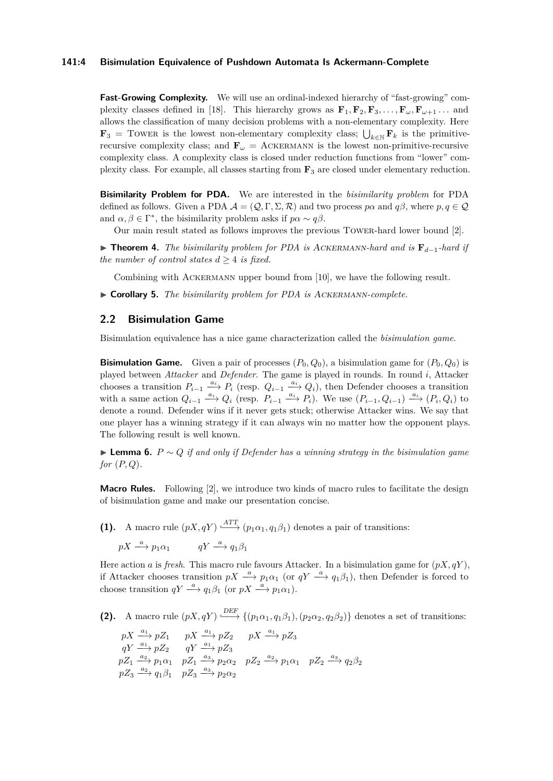#### **141:4 Bisimulation Equivalence of Pushdown Automata Is Ackermann-Complete**

**Fast-Growing Complexity.** We will use an ordinal-indexed hierarchy of "fast-growing" com-plexity classes defined in [\[18\]](#page-13-20). This hierarchy grows as  $\mathbf{F}_1, \mathbf{F}_2, \mathbf{F}_3, \ldots, \mathbf{F}_\omega, \mathbf{F}_{\omega+1} \ldots$  and allows the classification of many decision problems with a non-elementary complexity. Here **F**<sub>3</sub> = TOWER is the lowest non-elementary complexity class;  $\bigcup_{k \in \mathbb{N}} \mathbf{F}_k$  is the primitiverecursive complexity class; and  $\mathbf{F}_{\omega}$  = ACKERMANN is the lowest non-primitive-recursive complexity class. A complexity class is closed under reduction functions from "lower" complexity class. For example, all classes starting from **F**<sup>3</sup> are closed under elementary reduction.

**Bisimilarity Problem for PDA.** We are interested in the *bisimilarity problem* for PDA defined as follows. Given a PDA  $\mathcal{A} = (\mathcal{Q}, \Gamma, \Sigma, \mathcal{R})$  and two process  $p\alpha$  and  $q\beta$ , where  $p, q \in \mathcal{Q}$ and  $\alpha, \beta \in \Gamma^*$ , the bisimilarity problem asks if  $p\alpha \sim q\beta$ .

Our main result stated as follows improves the previous Tower-hard lower bound [\[2\]](#page-12-3).

<span id="page-3-0"></span>I **Theorem 4.** *The bisimilarity problem for PDA is* Ackermann*-hard and is* **F***d*−1*-hard if the number of control states*  $d > 4$  *is fixed.* 

Combining with Ackermann upper bound from [\[10\]](#page-13-6), we have the following result.

I **Corollary 5.** *The bisimilarity problem for PDA is* Ackermann*-complete.*

## **2.2 Bisimulation Game**

Bisimulation equivalence has a nice game characterization called the *bisimulation game*.

**Bisimulation Game.** Given a pair of processes  $(P_0, Q_0)$ , a bisimulation game for  $(P_0, Q_0)$  is played between *Attacker* and *Defender*. The game is played in rounds. In round *i*, Attacker chooses a transition  $P_{i-1} \stackrel{a_i}{\longrightarrow} P_i$  (resp.  $Q_{i-1} \stackrel{a_i}{\longrightarrow} Q_i$ ), then Defender chooses a transition with a same action  $Q_{i-1} \xrightarrow{a_i} Q_i$  (resp.  $P_{i-1} \xrightarrow{a_i} P_i$ ). We use  $(P_{i-1}, Q_{i-1}) \xrightarrow{a_i} (P_i, Q_i)$  to denote a round. Defender wins if it never gets stuck; otherwise Attacker wins. We say that one player has a winning strategy if it can always win no matter how the opponent plays. The following result is well known.

I **Lemma 6.** *P* ∼ *Q if and only if Defender has a winning strategy in the bisimulation game for* (*P, Q*)*.*

**Macro Rules.** Following [\[2\]](#page-12-3), we introduce two kinds of macro rules to facilitate the design of bisimulation game and make our presentation concise.

**(1).** A macro rule  $(pX, qY) \xrightarrow{ATT} (p_1\alpha_1, q_1\beta_1)$  denotes a pair of transitions:  $pX \stackrel{a}{\longrightarrow} p_1\alpha_1$  *qY*  $\stackrel{a}{\longrightarrow} q_1\beta_1$ 

Here action *a* is *fresh*. This macro rule favours Attacker. In a bisimulation game for  $(pX, qY)$ , if Attacker chooses transition  $pX \stackrel{a}{\longrightarrow} p_1\alpha_1$  (or  $qY \stackrel{a}{\longrightarrow} q_1\beta_1$ ), then Defender is forced to choose transition  $qY \stackrel{a}{\longrightarrow} q_1\beta_1$  (or  $pX \stackrel{a}{\longrightarrow} p_1\alpha_1$ ).

**(2).** A macro rule  $(pX, qY) \xrightarrow{\text{DEF}} \{(p_1\alpha_1, q_1\beta_1), (p_2\alpha_2, q_2\beta_2)\}$  denotes a set of transitions:

$$
\begin{array}{llll}\npX\xrightarrow{a_1} pZ_1 & pX\xrightarrow{a_1} pZ_2 & pX\xrightarrow{a_1} pZ_3\\ qY\xrightarrow{a_2} pZ_2 & qY\xrightarrow{a_3} pZ_3\\ pZ_1\xrightarrow{a_2} p_1\alpha_1 & pZ_1\xrightarrow{a_3} p_2\alpha_2 & pZ_2\xrightarrow{a_2} p_1\alpha_1 & pZ_2\xrightarrow{a_3} q_2\beta_2\\ pZ_3\xrightarrow{a_2} q_1\beta_1 & pZ_3\xrightarrow{a_3} p_2\alpha_2\n\end{array}
$$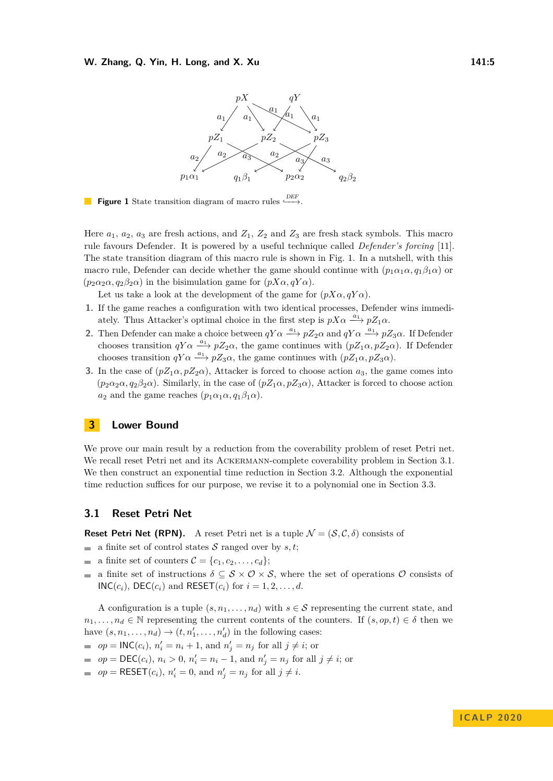<span id="page-4-1"></span>

**Figure 1** State transition diagram of macro rules  $\stackrel{DEF}{\longleftrightarrow}$ .

Here  $a_1$ ,  $a_2$ ,  $a_3$  are fresh actions, and  $Z_1$ ,  $Z_2$  and  $Z_3$  are fresh stack symbols. This macro rule favours Defender. It is powered by a useful technique called *Defender's forcing* [\[11\]](#page-13-21). The state transition diagram of this macro rule is shown in Fig. [1.](#page-4-1) In a nutshell, with this macro rule, Defender can decide whether the game should continue with  $(p_1 \alpha_1 \alpha, q_1 \beta_1 \alpha)$  or  $(p_2\alpha_2\alpha, q_2\beta_2\alpha)$  in the bisimulation game for  $(pX\alpha, qY\alpha)$ .

Let us take a look at the development of the game for  $(pX\alpha, qY\alpha)$ .

- **1.** If the game reaches a configuration with two identical processes, Defender wins immediately. Thus Attacker's optimal choice in the first step is  $pX\alpha \xrightarrow{a_1} pZ_1\alpha$ .
- **2.** Then Defender can make a choice between  $qY\alpha \xrightarrow{a_1} pZ_2\alpha$  and  $qY\alpha \xrightarrow{a_1} pZ_3\alpha$ . If Defender chooses transition  $qY\alpha \xrightarrow{a_1} pZ_2\alpha$ , the game continues with  $(pZ_1\alpha, pZ_2\alpha)$ . If Defender chooses transition  $qY\alpha \xrightarrow{a_1} pZ_3\alpha$ , the game continues with  $(pZ_1\alpha, pZ_3\alpha)$ .
- **3.** In the case of  $(pZ_1\alpha, pZ_2\alpha)$ , Attacker is forced to choose action  $a_3$ , the game comes into  $(p_2\alpha_2\alpha, q_2\beta_2\alpha)$ . Similarly, in the case of  $(pZ_1\alpha, pZ_3\alpha)$ , Attacker is forced to choose action *a*<sub>2</sub> and the game reaches  $(p_1 \alpha_1 \alpha, q_1 \beta_1 \alpha)$ .

# <span id="page-4-0"></span>**3 Lower Bound**

We prove our main result by a reduction from the coverability problem of reset Petri net. We recall reset Petri net and its ACKERMANN-complete coverability problem in Section [3.1.](#page-4-2) We then construct an exponential time reduction in Section [3.2.](#page-5-0) Although the exponential time reduction suffices for our purpose, we revise it to a polynomial one in Section [3.3.](#page-9-0)

# <span id="page-4-2"></span>**3.1 Reset Petri Net**

**Reset Petri Net (RPN).** A reset Petri net is a tuple  $\mathcal{N} = (\mathcal{S}, \mathcal{C}, \delta)$  consists of

- a finite set of control states  $S$  ranged over by  $s, t$ ;
- a finite set of counters  $\mathcal{C} = \{c_1, c_2, \ldots, c_d\};$
- a finite set of instructions  $\delta \subseteq S \times O \times S$ , where the set of operations O consists of  $INC(c_i)$ ,  $DEC(c_i)$  and  $REST(c_i)$  for  $i = 1, 2, \ldots, d$ .

A configuration is a tuple  $(s, n_1, \ldots, n_d)$  with  $s \in S$  representing the current state, and  $n_1, \ldots, n_d \in \mathbb{N}$  representing the current contents of the counters. If  $(s, op, t) \in \delta$  then we have  $(s, n_1, \ldots, n_d) \rightarrow (t, n'_1, \ldots, n'_d)$  in the following cases:

 $op = \mathsf{INC}(c_i)$ ,  $n'_i = n_i + 1$ , and  $n'_j = n_j$  for all  $j \neq i$ ; or

- $op = \text{DEC}(c_i)$ ,  $n_i > 0$ ,  $n'_i = n_i 1$ , and  $n'_j = n_j$  for all  $j \neq i$ ; or
- $op = \text{RESET}(c_i)$ ,  $n'_i = 0$ , and  $n'_j = n_j$  for all  $j \neq i$ .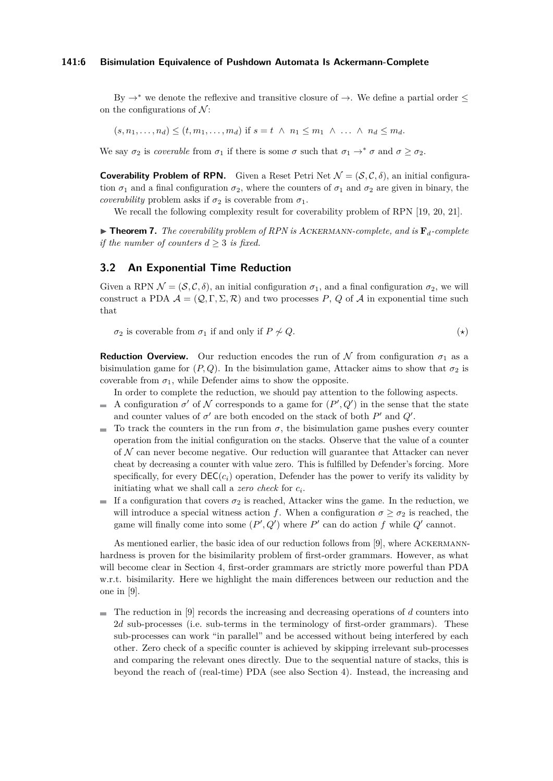#### **141:6 Bisimulation Equivalence of Pushdown Automata Is Ackermann-Complete**

By  $\rightarrow^*$  we denote the reflexive and transitive closure of  $\rightarrow$ . We define a partial order  $\leq$ on the configurations of  $\mathcal{N}$ :

$$
(s, n_1, \ldots, n_d) \le (t, m_1, \ldots, m_d) \text{ if } s = t \land n_1 \le m_1 \land \ldots \land n_d \le m_d.
$$

We say  $\sigma_2$  is *coverable* from  $\sigma_1$  if there is some  $\sigma$  such that  $\sigma_1 \to^* \sigma$  and  $\sigma \geq \sigma_2$ .

**Coverability Problem of RPN.** Given a Reset Petri Net  $\mathcal{N} = (\mathcal{S}, \mathcal{C}, \delta)$ , an initial configuration  $\sigma_1$  and a final configuration  $\sigma_2$ , where the counters of  $\sigma_1$  and  $\sigma_2$  are given in binary, the *coverability* problem asks if  $\sigma_2$  is coverable from  $\sigma_1$ .

We recall the following complexity result for coverability problem of RPN [\[19,](#page-13-19) [20,](#page-13-22) [21\]](#page-13-23).

<span id="page-5-2"></span> $\triangleright$  **Theorem 7.** The coverability problem of RPN is ACKERMANN-complete, and is  $\mathbf{F}_d$ -complete *if the number of counters*  $d \geq 3$  *is fixed.* 

## <span id="page-5-0"></span>**3.2 An Exponential Time Reduction**

Given a RPN  $\mathcal{N} = (\mathcal{S}, \mathcal{C}, \delta)$ , an initial configuration  $\sigma_1$ , and a final configuration  $\sigma_2$ , we will construct a PDA  $\mathcal{A} = (\mathcal{Q}, \Gamma, \Sigma, \mathcal{R})$  and two processes P, Q of A in exponential time such that

<span id="page-5-1"></span> $\sigma_2$  is coverable from  $\sigma_1$  if and only if  $P \not\sim Q$ . (\*)

**Reduction Overview.** Our reduction encodes the run of N from configuration  $\sigma_1$  as a bisimulation game for  $(P, Q)$ . In the bisimulation game, Attacker aims to show that  $\sigma_2$  is coverable from  $\sigma_1$ , while Defender aims to show the opposite.

In order to complete the reduction, we should pay attention to the following aspects.

- A configuration  $\sigma'$  of N corresponds to a game for  $(P', Q')$  in the sense that the state  $\mathcal{L}$ and counter values of  $\sigma'$  are both encoded on the stack of both  $P'$  and  $Q'$ .
- To track the counters in the run from  $\sigma$ , the bisimulation game pushes every counter  $\blacksquare$ operation from the initial configuration on the stacks. Observe that the value of a counter of  $\mathcal N$  can never become negative. Our reduction will guarantee that Attacker can never cheat by decreasing a counter with value zero. This is fulfilled by Defender's forcing. More specifically, for every  $\mathsf{DEC}(c_i)$  operation, Defender has the power to verify its validity by initiating what we shall call a *zero check* for *c<sup>i</sup>* .
- If a configuration that covers  $\sigma_2$  is reached, Attacker wins the game. In the reduction, we will introduce a special witness action *f*. When a configuration  $\sigma \geq \sigma_2$  is reached, the game will finally come into some  $(P', Q')$  where P' can do action f while  $Q'$  cannot.

As mentioned earlier, the basic idea of our reduction follows from [\[9\]](#page-13-4), where Ackermannhardness is proven for the bisimilarity problem of first-order grammars. However, as what will become clear in Section [4,](#page-10-0) first-order grammars are strictly more powerful than PDA w.r.t. bisimilarity. Here we highlight the main differences between our reduction and the one in [\[9\]](#page-13-4).

The reduction in [\[9\]](#page-13-4) records the increasing and decreasing operations of *d* counters into 2*d* sub-processes (i.e. sub-terms in the terminology of first-order grammars). These sub-processes can work "in parallel" and be accessed without being interfered by each other. Zero check of a specific counter is achieved by skipping irrelevant sub-processes and comparing the relevant ones directly. Due to the sequential nature of stacks, this is beyond the reach of (real-time) PDA (see also Section [4\)](#page-10-0). Instead, the increasing and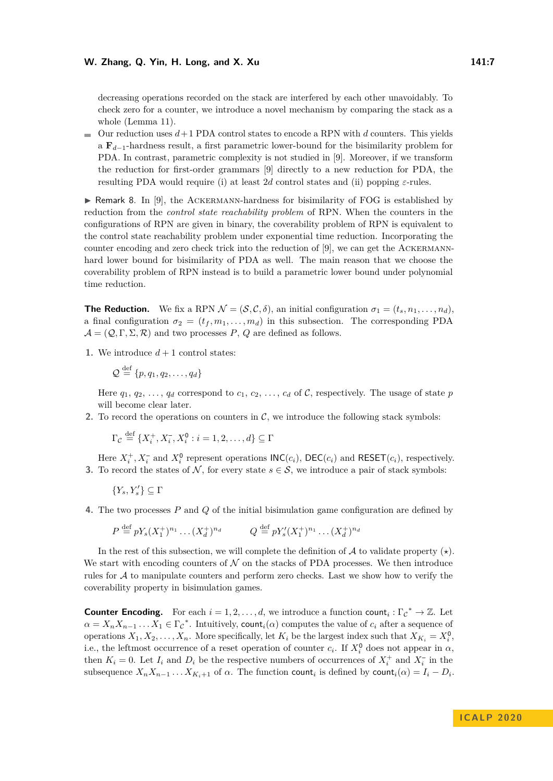#### **W. Zhang, Q. Yin, H. Long, and X. Xu 141:7**

decreasing operations recorded on the stack are interfered by each other unavoidably. To check zero for a counter, we introduce a novel mechanism by comparing the stack as a whole (Lemma [11\)](#page-7-0).

 $\Box$  Our reduction uses  $d+1$  PDA control states to encode a RPN with *d* counters. This yields a **F***d*−1-hardness result, a first parametric lower-bound for the bisimilarity problem for PDA. In contrast, parametric complexity is not studied in [\[9\]](#page-13-4). Moreover, if we transform the reduction for first-order grammars [\[9\]](#page-13-4) directly to a new reduction for PDA, the resulting PDA would require (i) at least 2*d* control states and (ii) popping *ε*-rules.

 $\triangleright$  Remark 8. In [\[9\]](#page-13-4), the ACKERMANN-hardness for bisimilarity of FOG is established by reduction from the *control state reachability problem* of RPN. When the counters in the configurations of RPN are given in binary, the coverability problem of RPN is equivalent to the control state reachability problem under exponential time reduction. Incorporating the counter encoding and zero check trick into the reduction of [\[9\]](#page-13-4), we can get the Ackermannhard lower bound for bisimilarity of PDA as well. The main reason that we choose the coverability problem of RPN instead is to build a parametric lower bound under polynomial time reduction.

**The Reduction.** We fix a RPN  $\mathcal{N} = (\mathcal{S}, \mathcal{C}, \delta)$ , an initial configuration  $\sigma_1 = (t_s, n_1, \ldots, n_d)$ , a final configuration  $\sigma_2 = (t_f, m_1, \ldots, m_d)$  in this subsection. The corresponding PDA  $\mathcal{A} = (\mathcal{Q}, \Gamma, \Sigma, \mathcal{R})$  and two processes P, Q are defined as follows.

**1.** We introduce  $d+1$  control states:

$$
\mathcal{Q} \stackrel{\text{def}}{=} \{p, q_1, q_2, \dots, q_d\}
$$

Here  $q_1, q_2, \ldots, q_d$  correspond to  $c_1, c_2, \ldots, c_d$  of C, respectively. The usage of state *p* will become clear later.

**2.** To record the operations on counters in  $\mathcal{C}$ , we introduce the following stack symbols:

$$
\Gamma_{\mathcal{C}} \stackrel{\text{def}}{=} \{X_i^+, X_i^-, X_i^0 : i = 1, 2, \dots, d\} \subseteq \Gamma
$$

Here  $X_i^+$ ,  $X_i^-$  and  $X_i^0$  represent operations  $INC(c_i)$ ,  $DEC(c_i)$  and  $REST(c_i)$ , respectively. **3.** To record the states of N, for every state  $s \in \mathcal{S}$ , we introduce a pair of stack symbols:

$$
\{Y_s,Y'_s\}\subseteq \Gamma
$$

**4.** The two processes *P* and *Q* of the initial bisimulation game configuration are defined by

$$
P \stackrel{\text{def}}{=} pY_s (X_1^+)^{n_1} \dots (X_d^+)^{n_d} \qquad Q \stackrel{\text{def}}{=} pY'_s (X_1^+)^{n_1} \dots (X_d^+)^{n_d}
$$

In the rest of this subsection, we will complete the definition of  $A$  to validate property  $(\star)$ . We start with encoding counters of  $N$  on the stacks of PDA processes. We then introduce rules for  $A$  to manipulate counters and perform zero checks. Last we show how to verify the coverability property in bisimulation games.

**Counter Encoding.** For each  $i = 1, 2, ..., d$ , we introduce a function count<sub>i</sub> :  $\Gamma_c^* \to \mathbb{Z}$ . Let  $\alpha = X_n X_{n-1} \dots X_1 \in \Gamma_c^*$ . Intuitively, count<sub>*i*</sub>( $\alpha$ ) computes the value of  $c_i$  after a sequence of operations  $X_1, X_2, \ldots, X_n$ . More specifically, let  $K_i$  be the largest index such that  $X_{K_i} = X_i^0$ , i.e., the leftmost occurrence of a reset operation of counter  $c_i$ . If  $X_i^0$  does not appear in  $\alpha$ , then  $K_i = 0$ . Let  $I_i$  and  $D_i$  be the respective numbers of occurrences of  $X_i^+$  and  $X_i^-$  in the subsequence  $X_n X_{n-1} \ldots X_{K_i+1}$  of  $\alpha$ . The function count<sub>*i*</sub> is defined by count<sub>*i*</sub>( $\alpha$ ) =  $I_i - D_i$ .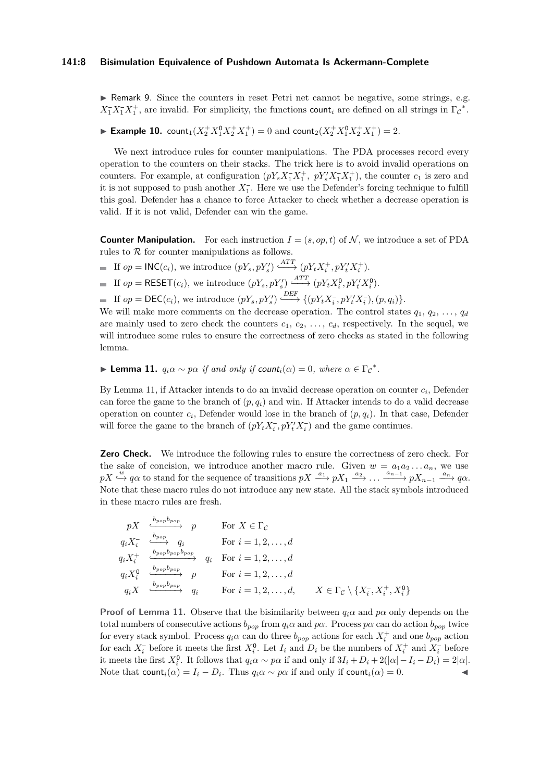#### **141:8 Bisimulation Equivalence of Pushdown Automata Is Ackermann-Complete**

► Remark 9. Since the counters in reset Petri net cannot be negative, some strings, e.g.  $X_1^- X_1^- X_1^+$ , are invalid. For simplicity, the functions count<sub>i</sub> are defined on all strings in  $\Gamma_c^*$ .

# ► **Example 10.** count<sub>1</sub> $(X_2^+ X_1^0 X_2^+ X_1^+) = 0$  and count<sub>2</sub> $(X_2^+ X_1^0 X_2^+ X_1^+) = 2$ .

We next introduce rules for counter manipulations. The PDA processes record every operation to the counters on their stacks. The trick here is to avoid invalid operations on counters. For example, at configuration  $(pY_sX_1^+X_1^+, pY_s'X_1^-X_1^+)$ , the counter  $c_1$  is zero and it is not supposed to push another  $X_1^-$ . Here we use the Defender's forcing technique to fulfill this goal. Defender has a chance to force Attacker to check whether a decrease operation is valid. If it is not valid, Defender can win the game.

**Counter Manipulation.** For each instruction  $I = (s, op, t)$  of N, we introduce a set of PDA rules to  $R$  for counter manipulations as follows.

If  $op = \mathsf{INC}(c_i)$ , we introduce  $(pY_s, pY'_s) \xrightarrow{ATT} (pY_tX_i^+, pY'_tX_i^+).$ 

If  $op = \text{RESET}(c_i)$ , we introduce  $(pY_s, pY'_s) \xrightarrow{ATT} (pY_t X_i^0, pY'_t X_i^0)$ .

If  $op = \mathsf{DEC}(c_i)$ , we introduce  $(pY_s, pY'_s) \xrightarrow{\mathit{DEF}} \{ (pY_tX_i^-, pY'_tX_i^-), (p, q_i) \}.$ 

We will make more comments on the decrease operation. The control states  $q_1, q_2, \ldots, q_d$ are mainly used to zero check the counters  $c_1, c_2, \ldots, c_d$ , respectively. In the sequel, we will introduce some rules to ensure the correctness of zero checks as stated in the following lemma.

# <span id="page-7-0"></span>**► Lemma 11.**  $q_i \alpha \sim p \alpha$  *if and only if count<sub>i</sub>*( $\alpha$ ) = 0*, where*  $\alpha \in \Gamma_c^*$ .

By Lemma [11,](#page-7-0) if Attacker intends to do an invalid decrease operation on counter *c<sup>i</sup>* , Defender can force the game to the branch of  $(p, q_i)$  and win. If Attacker intends to do a valid decrease operation on counter  $c_i$ , Defender would lose in the branch of  $(p, q_i)$ . In that case, Defender will force the game to the branch of  $(pY_t X_i^-, pY_t' X_i^-)$  and the game continues.

**Zero Check.** We introduce the following rules to ensure the correctness of zero check. For the sake of concision, we introduce another macro rule. Given  $w = a_1 a_2 \dots a_n$ , we use  $pX \stackrel{w}{\hookrightarrow} q\alpha$  to stand for the sequence of transitions  $pX \stackrel{a_1}{\longrightarrow} pX_1 \stackrel{a_2}{\longrightarrow} \ldots \stackrel{a_{n-1}}{\longrightarrow} pX_{n-1} \stackrel{a_n}{\longrightarrow} q\alpha$ . Note that these macro rules do not introduce any new state. All the stack symbols introduced in these macro rules are fresh.

$$
pX \xrightarrow{b_{pop}b_{pop}} p \qquad \text{For } X \in \Gamma_{\mathcal{C}}
$$
\n
$$
q_i X_i^- \xrightarrow{b_{pop}} q_i \qquad \text{For } i = 1, 2, ..., d
$$
\n
$$
q_i X_i^+ \xrightarrow{b_{pop}b_{pop}} q_i \qquad \text{For } i = 1, 2, ..., d
$$
\n
$$
q_i X_i^0 \xrightarrow{b_{pop}b_{pop}} p \qquad \text{For } i = 1, 2, ..., d
$$
\n
$$
q_i X \xrightarrow{b_{pop}b_{pop}} q_i \qquad \text{For } i = 1, 2, ..., d, \qquad X \in \Gamma_{\mathcal{C}} \setminus \{X_i^-, X_i^+, X_i^0\}
$$

**Proof of Lemma [11.](#page-7-0)** Observe that the bisimilarity between  $q_i \alpha$  and  $p \alpha$  only depends on the total numbers of consecutive actions  $b_{pop}$  from  $q_i \alpha$  and  $p\alpha$ . Process  $p\alpha$  can do action  $b_{pop}$  twice for every stack symbol. Process  $q_i \alpha$  can do three  $b_{pop}$  actions for each  $X_i^+$  and one  $b_{pop}$  action for each  $X_i^-$  before it meets the first  $X_i^0$ . Let  $I_i$  and  $D_i$  be the numbers of  $X_i^+$  and  $X_i^-$  before it meets the first  $X_i^0$ . It follows that  $q_i\alpha \sim p\alpha$  if and only if  $3I_i + D_i + 2(|\alpha| - I_i - D_i) = 2|\alpha|$ . Note that  $count_i(\alpha) = I_i - D_i$ . Thus  $q_i\alpha \sim p\alpha$  if and only if  $count_i(\alpha) = 0$ .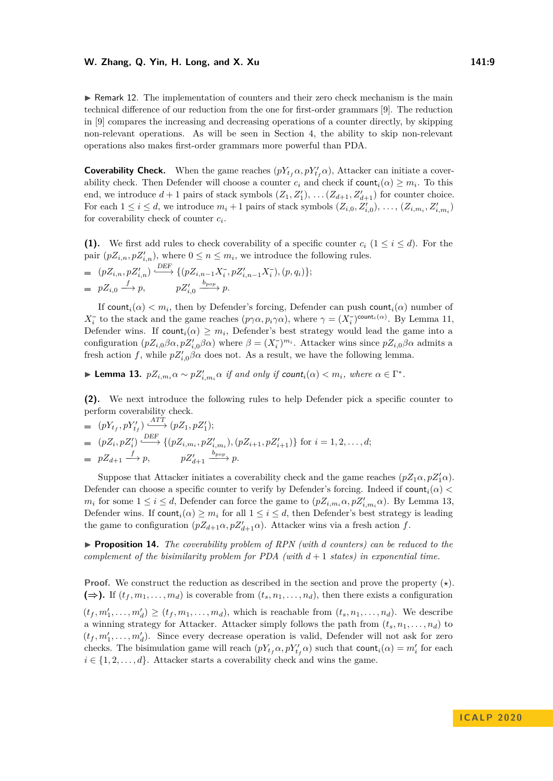#### **W. Zhang, Q. Yin, H. Long, and X. Xu 141:9**

 $\triangleright$  Remark 12. The implementation of counters and their zero check mechanism is the main technical difference of our reduction from the one for first-order grammars [\[9\]](#page-13-4). The reduction in [\[9\]](#page-13-4) compares the increasing and decreasing operations of a counter directly, by skipping non-relevant operations. As will be seen in Section [4,](#page-10-0) the ability to skip non-relevant operations also makes first-order grammars more powerful than PDA.

**Coverability Check.** When the game reaches  $(pY_{t_f}\alpha, pY'_{t_f}\alpha)$ , Attacker can initiate a coverability check. Then Defender will choose a counter  $c_i$  and check if  $\text{count}_i(\alpha) \geq m_i$ . To this end, we introduce  $d+1$  pairs of stack symbols  $(Z_1, Z'_1), \ldots, (Z_{d+1}, Z'_{d+1})$  for counter choice. For each  $1 \leq i \leq d$ , we introduce  $m_i + 1$  pairs of stack symbols  $(Z_{i,0}, Z'_{i,0}), \ldots, (Z_{i,m_i}, Z'_{i,m_i})$ for coverability check of counter *c<sup>i</sup>* .

**(1).** We first add rules to check coverability of a specific counter  $c_i$  ( $1 \leq i \leq d$ ). For the pair  $(pZ_{i,n}, pZ'_{i,n})$ , where  $0 \leq n \leq m_i$ , we introduce the following rules.

$$
= (pZ_{i,n}, pZ'_{i,n}) \xrightarrow{\text{DEF}} \{ (pZ_{i,n-1}X_i^-, pZ'_{i,n-1}X_i^-), (p,q_i) \};
$$
  

$$
= pZ_{i,0} \xrightarrow{f} p, \qquad pZ'_{i,0} \xrightarrow{b_{pop}} p.
$$

If count<sub>*i*</sub>( $\alpha$ )  $< m_i$ , then by Defender's forcing, Defender can push count<sub>*i*</sub>( $\alpha$ ) number of *X*<sup>-</sup><sub>*i*</sub></sup> to the stack and the game reaches  $(p\gamma\alpha, p_i\gamma\alpha)$ , where  $\gamma = (X_i^-)$ <sup>count<sub>*i*</sub>( $\alpha$ )</sub>. By Lemma [11,](#page-7-0)</sup> Defender wins. If count<sub>i</sub> $(\alpha) \geq m_i$ , Defender's best strategy would lead the game into a configuration  $(pZ_{i,0}\beta\alpha, pZ'_{i,0}\beta\alpha)$  where  $\beta = (X_i^-)^{m_i}$ . Attacker wins since  $pZ_{i,0}\beta\alpha$  admits a fresh action *f*, while  $pZ'_{i,0}\beta\alpha$  does not. As a result, we have the following lemma.

<span id="page-8-0"></span>► Lemma 13.  $pZ_{i,m_i}\alpha \sim pZ'_{i,m_i}\alpha$  *if and only if count<sub>i</sub>*( $\alpha$ )  $< m_i$ *, where*  $\alpha \in \Gamma^*$ *.* 

**(2).** We next introduce the following rules to help Defender pick a specific counter to perform coverability check.

= 
$$
(pY_{t_f}, pY'_{t_f}) \xrightarrow{\text{ATT}} (pZ_1, pZ'_1);
$$
  
\n=  $(pZ_i, pZ'_i) \xrightarrow{\text{DEF}} \{(pZ_{i,m_i}, pZ'_{t,m_i}), (pZ_{i+1}, pZ'_{i+1})\}$  for  $i = 1, 2, ..., d;$   
\n=  $pZ_{d+1} \xrightarrow{f} p$ ,  $pZ'_{d+1} \xrightarrow{b_{pop}} p$ .

Suppose that Attacker initiates a coverability check and the game reaches  $(pZ_1\alpha, pZ'_1\alpha)$ . Defender can choose a specific counter to verify by Defender's forcing. Indeed if  $count_i(\alpha)$  < *m<sub>i</sub>* for some  $1 \leq i \leq d$ , Defender can force the game to  $(pZ_{i,m_i}\alpha, pZ'_{i,m_i}\alpha)$ . By Lemma [13,](#page-8-0) Defender wins. If  $count_i(\alpha) \geq m_i$  for all  $1 \leq i \leq d$ , then Defender's best strategy is leading the game to configuration  $(pZ_{d+1}\alpha, pZ'_{d+1}\alpha)$ . Attacker wins via a fresh action *f*.

<span id="page-8-1"></span>▶ **Proposition 14.** *The coverability problem of RPN (with d counters) can be reduced to the complement of the bisimilarity problem for PDA (with*  $d+1$  *states) in exponential time.* 

**Proof.** We construct the reduction as described in the section and prove the property  $(\star)$ .  $(\Rightarrow)$ . If  $(t_f, m_1, \ldots, m_d)$  is coverable from  $(t_s, n_1, \ldots, n_d)$ , then there exists a configuration

 $(t_f, m'_1, \ldots, m'_d) \ge (t_f, m_1, \ldots, m_d)$ , which is reachable from  $(t_s, n_1, \ldots, n_d)$ . We describe a winning strategy for Attacker. Attacker simply follows the path from  $(t_s, n_1, \ldots, n_d)$  to  $(t_f, m'_1, \ldots, m'_d)$ . Since every decrease operation is valid, Defender will not ask for zero checks. The bisimulation game will reach  $(pY_t, \alpha, pY'_{tf} \alpha)$  such that  $count_i(\alpha) = m'_i$  for each  $i \in \{1, 2, \ldots, d\}$ . Attacker starts a coverability check and wins the game.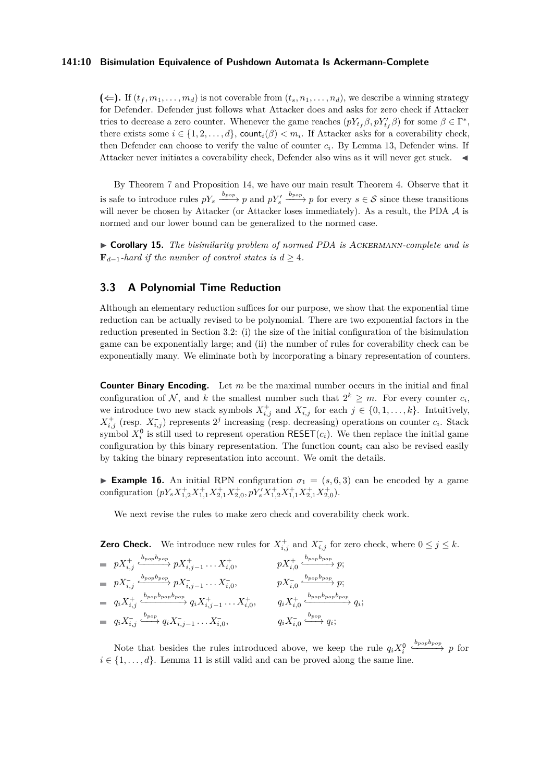#### **141:10 Bisimulation Equivalence of Pushdown Automata Is Ackermann-Complete**

 $(\Leftarrow)$ . If  $(t_f, m_1, \ldots, m_d)$  is not coverable from  $(t_s, n_1, \ldots, n_d)$ , we describe a winning strategy for Defender. Defender just follows what Attacker does and asks for zero check if Attacker tries to decrease a zero counter. Whenever the game reaches  $(pY_{t_f}\beta, pY'_{t_f}\beta)$  for some  $\beta \in \Gamma^*$ , there exists some  $i \in \{1, 2, \ldots, d\}$ , count $i(\beta) < m_i$ . If Attacker asks for a coverability check, then Defender can choose to verify the value of counter  $c_i$ . By Lemma [13,](#page-8-0) Defender wins. If Attacker never initiates a coverability check, Defender also wins as it will never get stuck.

By Theorem [7](#page-5-2) and Proposition [14,](#page-8-1) we have our main result Theorem [4.](#page-3-0) Observe that it is safe to introduce rules  $pY_s \xrightarrow{b_{pop}} p$  and  $pY'_s \xrightarrow{b_{pop}} p$  for every  $s \in S$  since these transitions will never be chosen by Attacker (or Attacker loses immediately). As a result, the PDA  $\mathcal A$  is normed and our lower bound can be generalized to the normed case.

I **Corollary 15.** *The bisimilarity problem of normed PDA is* Ackermann*-complete and is*  $\mathbf{F}_{d-1}$ -hard if the number of control states is  $d \geq 4$ .

# <span id="page-9-0"></span>**3.3 A Polynomial Time Reduction**

Although an elementary reduction suffices for our purpose, we show that the exponential time reduction can be actually revised to be polynomial. There are two exponential factors in the reduction presented in Section [3.2:](#page-5-0) (i) the size of the initial configuration of the bisimulation game can be exponentially large; and (ii) the number of rules for coverability check can be exponentially many. We eliminate both by incorporating a binary representation of counters.

**Counter Binary Encoding.** Let *m* be the maximal number occurs in the initial and final configuration of  $N$ , and  $k$  the smallest number such that  $2^k \geq m$ . For every counter  $c_i$ , we introduce two new stack symbols  $X_{i,j}^+$  and  $X_{i,j}^-$  for each  $j \in \{0,1,\ldots,k\}$ . Intuitively,  $X_{i,j}^+$  (resp.  $X_{i,j}^-$ ) represents  $2^j$  increasing (resp. decreasing) operations on counter  $c_i$ . Stack symbol  $X_i^0$  is still used to represent operation RESET( $c_i$ ). We then replace the initial game configuration by this binary representation. The function count*<sup>i</sup>* can also be revised easily by taking the binary representation into account. We omit the details.

**Example 16.** An initial RPN configuration  $\sigma_1 = (s, 6, 3)$  can be encoded by a game configuration  $(pY_sX_{1,2}^+X_{1,1}^+X_{2,1}^+X_{2,0}^+, pY_s'X_{1,2}^+X_{1,1}^+X_{2,1}^+X_{2,0}^+).$ 

We next revise the rules to make zero check and coverability check work.

**Zero Check.** We introduce new rules for  $X_{i,j}^+$  and  $X_{i,j}^-$  for zero check, where  $0 \leq j \leq k$ .  $pX^+_{i,j}$  $pX_{i,j-1}^+$  *pX*<sup>+</sup><sub>*i,*0</sub></sub>, *pX*<sup>+</sup><sub>*i,0*</sub> *bpopbpop ,*−−−−−→ *p*;  $pX_{i,j}^$  $pX_{i,j-1}^{-} \ldots X_{i,0}^{-}$ ,  $pX_{i,0}^{-}$ *bpopbpop ,*−−−−−→ *p*;  $q_i X^+_{i,j}$  $\xrightarrow{b_{pop}b_{pop}b_{pop}} q_i X^+_{i,j-1} \ldots X^+_{i,0}, \qquad q_i X^+_{i,0}$  $\xrightarrow{b_{pop}b_{pop}b_{pop}} q_i$  $q_i X_{i,j}^ \xrightarrow{b_{pop}} q_i X_{i,j-1}^- \ldots X_{i,0}^-$ ,  $q_i X_{i,0}^{-}$  $\stackrel{b_{pop}}{\longrightarrow} q_i;$ 

Note that besides the rules introduced above, we keep the rule  $q_i X_i^0$ *bpopbpop ,*−−−−−→ *p* for  $i \in \{1, \ldots, d\}$ . Lemma [11](#page-7-0) is still valid and can be proved along the same line.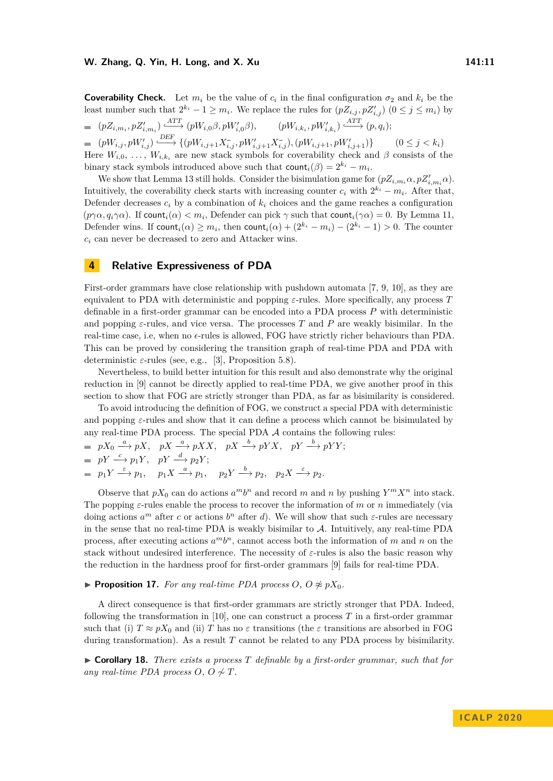**Coverability Check.** Let  $m_i$  be the value of  $c_i$  in the final configuration  $\sigma_2$  and  $k_i$  be the least number such that  $2^{k_i} - 1 \ge m_i$ . We replace the rules for  $(pZ_{i,j}, pZ'_{i,j})$   $(0 \le j \le m_i)$  by  $(pZ_{i,m_i}, pZ'_{i,m_i}) \xrightarrow{\text{ATT}} (pW_{i,0}\beta, pW'_{i,0}\beta), \qquad (pW_{i,k_i}, pW'_{i,k_i}) \xrightarrow{\text{ATT}} (p,q_i);$  $(pW_{i,j}, pW'_{i,j}) \xrightarrow{\text{DEF}} \{ (pW_{i,j+1}X_{i,j}^-, pW'_{i,j+1}X_{i,j}^-,)(pW_{i,j+1}, pW'_{i,j+1})\}$  $(0 \leq j < k_i)$ Here  $W_{i,0}, \ldots, W_{i,k_i}$  are new stack symbols for coverability check and  $\beta$  consists of the binary stack symbols introduced above such that  $count_i(\beta) = 2^{k_i} - m_i$ .

We show that Lemma [13](#page-8-0) still holds. Consider the bisimulation game for  $(pZ_{i,m_i}\alpha, pZ'_{i,m_i}\alpha)$ . Intuitively, the coverability check starts with increasing counter  $c_i$  with  $2^{k_i} - m_i$ . After that, Defender decreases  $c_i$  by a combination of  $k_i$  choices and the game reaches a configuration  $(p\gamma\alpha, q_i\gamma\alpha)$ . If count<sub>*i*</sub>( $\alpha$ )  $< m_i$ , Defender can pick  $\gamma$  such that count<sub>*i*</sub>( $\gamma\alpha$ ) = 0. By Lemma [11,](#page-7-0) Defender wins. If  $count_i(\alpha) \geq m_i$ , then  $count_i(\alpha) + (2^{k_i} - m_i) - (2^{k_i} - 1) > 0$ . The counter *c<sup>i</sup>* can never be decreased to zero and Attacker wins.

#### <span id="page-10-0"></span>**4 Relative Expressiveness of PDA**

First-order grammars have close relationship with pushdown automata [\[7,](#page-13-15) [9,](#page-13-4) [10\]](#page-13-6), as they are equivalent to PDA with deterministic and popping *ε*-rules. More specifically, any process *T* definable in a first-order grammar can be encoded into a PDA process *P* with deterministic and popping  $\varepsilon$ -rules, and vice versa. The processes *T* and *P* are weakly bisimilar. In the real-time case, i.e, when no  $\epsilon$ -rules is allowed, FOG have strictly richer behaviours than PDA. This can be proved by considering the transition graph of real-time PDA and PDA with deterministic  $\varepsilon$ -rules (see, e.g., [\[3\]](#page-12-4), Proposition 5.8).

Nevertheless, to build better intuition for this result and also demonstrate why the original reduction in [\[9\]](#page-13-4) cannot be directly applied to real-time PDA, we give another proof in this section to show that FOG are strictly stronger than PDA, as far as bisimilarity is considered.

To avoid introducing the definition of FOG, we construct a special PDA with deterministic and popping *ε*-rules and show that it can define a process which cannot be bisimulated by any real-time PDA process. The special PDA  $A$  contains the following rules:

$$
pX_0 \xrightarrow{a} pX, \quad pX \xrightarrow{a} pXX, \quad pX \xrightarrow{b} pYX, \quad pY \xrightarrow{b} pYY;
$$
  
\n
$$
pY \xrightarrow{c} p_1Y, \quad pY \xrightarrow{d} p_2Y;
$$
  
\n
$$
p_1Y \xrightarrow{\varepsilon} p_1, \quad p_1X \xrightarrow{a} p_1, \quad p_2Y \xrightarrow{b} p_2, \quad p_2X \xrightarrow{\varepsilon} p_2.
$$

Observe that  $pX_0$  can do actions  $a^m b^n$  and record *m* and *n* by pushing  $Y^m X^n$  into stack. The popping *ε*-rules enable the process to recover the information of *m* or *n* immediately (via doing actions  $a^m$  after *c* or actions  $b^n$  after *d*). We will show that such  $\varepsilon$ -rules are necessary in the sense that no real-time PDA is weakly bisimilar to  $A$ . Intuitively, any real-time PDA process, after executing actions  $a^m b^n$ , cannot access both the information of *m* and *n* on the stack without undesired interference. The necessity of *ε*-rules is also the basic reason why the reduction in the hardness proof for first-order grammars [\[9\]](#page-13-4) fails for real-time PDA.

#### <span id="page-10-1"></span>▶ **Proposition 17.** *For any real-time PDA process*  $O$ *,*  $O \not\approx pX_0$ *.*

A direct consequence is that first-order grammars are strictly stronger that PDA. Indeed, following the transformation in [\[10\]](#page-13-6), one can construct a process *T* in a first-order grammar such that (i)  $T \approx pX_0$  and (ii) *T* has no  $\varepsilon$  transitions (the  $\varepsilon$  transitions are absorbed in FOG during transformation). As a result *T* cannot be related to any PDA process by bisimilarity.

I **Corollary 18.** *There exists a process T definable by a first-order grammar, such that for any real-time PDA process*  $O, O \not\sim T$ *.*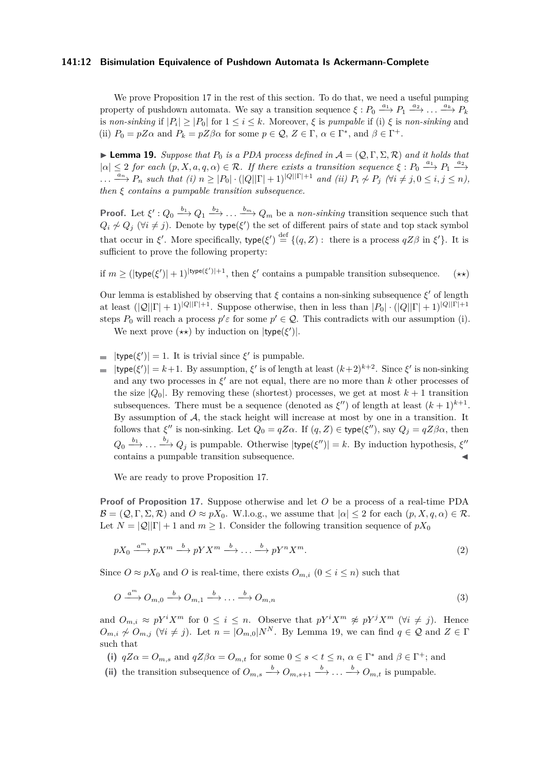#### **141:12 Bisimulation Equivalence of Pushdown Automata Is Ackermann-Complete**

We prove Proposition [17](#page-10-1) in the rest of this section. To do that, we need a useful pumping property of pushdown automata. We say a transition sequence  $\xi : P_0 \xrightarrow{a_1} P_1 \xrightarrow{a_2} \ldots \xrightarrow{a_k} P_k$ is *non-sinking* if  $|P_i| \geq |P_0|$  for  $1 \leq i \leq k$ . Moreover,  $\xi$  is *pumpable* if (i)  $\xi$  is *non-sinking* and (ii)  $P_0 = pZ\alpha$  and  $P_k = pZ\beta\alpha$  for some  $p \in \mathcal{Q}, Z \in \Gamma, \alpha \in \Gamma^*$ , and  $\beta \in \Gamma^+$ .

<span id="page-11-0"></span>**I Lemma 19.** Suppose that  $P_0$  is a PDA process defined in  $A = (Q, \Gamma, \Sigma, \mathcal{R})$  and it holds that  $|\alpha| \leq 2$  *for each*  $(p, X, a, q, \alpha) \in \mathcal{R}$ *. If there exists a transition sequence*  $\xi : P_0 \xrightarrow{a_1} P_1 \xrightarrow{a_2} P_1$  $\ldots \xrightarrow{a_n} P_n$  such that (i)  $n \geq |P_0| \cdot (|Q||\Gamma| + 1)^{|Q||\Gamma| + 1}$  and (ii)  $P_i \nsim P_j$  ( $\forall i \neq j, 0 \leq i, j \leq n$ ), *then ξ contains a pumpable transition subsequence.*

**Proof.** Let  $\xi'$  :  $Q_0 \xrightarrow{b_1} Q_1 \xrightarrow{b_2} \ldots \xrightarrow{b_m} Q_m$  be a *non-sinking* transition sequence such that  $Q_i \nsim Q_j$  ( $\forall i \neq j$ ). Denote by type( $\xi'$ ) the set of different pairs of state and top stack symbol that occur in  $\xi'$ . More specifically, type( $\xi'$ )  $\stackrel{\text{def}}{=} \{(q, Z) : \text{ there is a process } qZ\beta \text{ in } \xi'\}.$  It is sufficient to prove the following property:

if  $m \geq (|\text{type}(\xi')| + 1)^{|\text{type}(\xi')| + 1}$ , then  $\xi'$  contains a pumpable transition subsequence.  $(\star \star)$ 

Our lemma is established by observing that  $\xi$  contains a non-sinking subsequence  $\xi'$  of length at least  $(|Q||\Gamma|+1)^{|Q||\Gamma|+1}$ . Suppose otherwise, then in less than  $|P_0| \cdot (|Q||\Gamma|+1)^{|Q||\Gamma|+1}$ steps  $P_0$  will reach a process  $p' \in \mathcal{Q}$ . This contradicts with our assumption (i).

We next prove  $(\star \star)$  by induction on  $|\text{type}(\xi')|$ .

- $|\text{type}(\xi')|=1$ . It is trivial since  $\xi'$  is pumpable.
- $|\text{type}(\xi')| = k+1$ . By assumption,  $\xi'$  is of length at least  $(k+2)^{k+2}$ . Since  $\xi'$  is non-sinking and any two processes in  $\xi'$  are not equal, there are no more than  $k$  other processes of the size  $|Q_0|$ . By removing these (shortest) processes, we get at most  $k+1$  transition subsequences. There must be a sequence (denoted as  $\xi''$ ) of length at least  $(k+1)^{k+1}$ . By assumption of  $A$ , the stack height will increase at most by one in a transition. It follows that  $\xi''$  is non-sinking. Let  $Q_0 = qZ\alpha$ . If  $(q, Z) \in \text{type}(\xi'')$ , say  $Q_j = qZ\beta\alpha$ , then  $Q_0 \xrightarrow{b_1} \ldots \xrightarrow{b_j} Q_j$  is pumpable. Otherwise  $|\text{type}(\xi'')| = k$ . By induction hypothesis,  $\xi''$ contains a pumpable transition subsequence.  $\blacktriangleleft$

We are ready to prove Proposition [17.](#page-10-1)

**Proof of Proposition [17.](#page-10-1)** Suppose otherwise and let *O* be a process of a real-time PDA  $\mathcal{B} = (Q, \Gamma, \Sigma, \mathcal{R})$  and  $O \approx pX_0$ . W.l.o.g., we assume that  $|\alpha| \leq 2$  for each  $(p, X, q, \alpha) \in \mathcal{R}$ . Let  $N = |Q||\Gamma| + 1$  and  $m > 1$ . Consider the following transition sequence of  $pX_0$ 

$$
pX_0 \xrightarrow{a^m} pX^m \xrightarrow{b} pYX^m \xrightarrow{b} \dots \xrightarrow{b} pY^nX^m. \tag{2}
$$

Since  $O \approx pX_0$  and *O* is real-time, there exists  $O_{m,i}$   $(0 \le i \le n)$  such that

$$
O \xrightarrow{a^m} O_{m,0} \xrightarrow{b} O_{m,1} \xrightarrow{b} \dots \xrightarrow{b} O_{m,n} \tag{3}
$$

and  $O_{m,i} \approx pY^iX^m$  for  $0 \leq i \leq n$ . Observe that  $pY^iX^m \not\approx pY^jX^m$  ( $\forall i \neq j$ ). Hence  $O_{m,i} \nsim O_{m,j}$  ( $\forall i \neq j$ ). Let  $n = |O_{m,0}|N^N$ . By Lemma [19,](#page-11-0) we can find  $q \in \mathcal{Q}$  and  $Z \in \Gamma$ such that

- (i)  $qZ\alpha = O_{m,s}$  and  $qZ\beta\alpha = O_{m,t}$  for some  $0 \le s < t \le n$ ,  $\alpha \in \Gamma^*$  and  $\beta \in \Gamma^+$ ; and
- (ii) the transition subsequence of  $O_{m,s} \xrightarrow{b} O_{m,s+1} \xrightarrow{b} \ldots \xrightarrow{b} O_{m,t}$  is pumpable.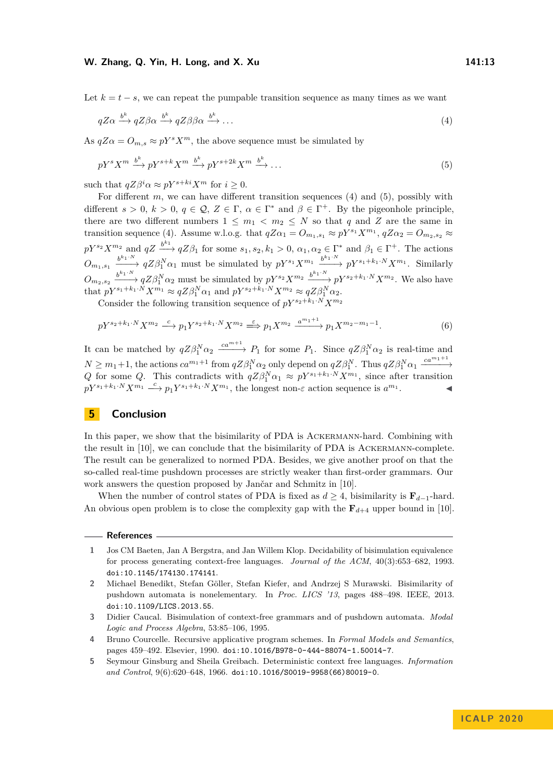Let  $k = t - s$ , we can repeat the pumpable transition sequence as many times as we want

<span id="page-12-7"></span><span id="page-12-6"></span>
$$
qZ\alpha \xrightarrow{b^k} qZ\beta\alpha \xrightarrow{b^k} qZ\beta\beta\alpha \xrightarrow{b^k} \dots \tag{4}
$$

As  $qZ\alpha = O_{m,s} \approx pY^sX^m$ , the above sequence must be simulated by

$$
pY^{s}X^{m} \xrightarrow{b^{k}} pY^{s+k}X^{m} \xrightarrow{b^{k}} pY^{s+2k}X^{m} \xrightarrow{b^{k}} \dots
$$
\n
$$
(5)
$$

such that  $qZ\beta^i\alpha \approx pY^{s+ki}X^m$  for  $i > 0$ .

For different *m*, we can have different transition sequences [\(4\)](#page-12-6) and [\(5\)](#page-12-7), possibly with different  $s > 0$ ,  $k > 0$ ,  $q \in \mathcal{Q}$ ,  $Z \in \Gamma$ ,  $\alpha \in \Gamma^*$  and  $\beta \in \Gamma^+$ . By the pigeonhole principle, there are two different numbers  $1 \leq m_1 < m_2 \leq N$  so that q and Z are the same in transition sequence [\(4\)](#page-12-6). Assume w.l.o.g. that  $qZ\alpha_1 = O_{m_1,s_1} \approx pY^{s_1}X^{m_1}$ ,  $qZ\alpha_2 = O_{m_2,s_2} \approx$  $pY^{s_2}X^{m_2}$  and  $qZ \stackrel{b^{k_1}}{\longrightarrow} qZ\beta_1$  for some  $s_1, s_2, k_1 > 0$ ,  $\alpha_1, \alpha_2 \in \Gamma^*$  and  $\beta_1 \in \Gamma^+$ . The actions  $O_{m_1,s_1} \xrightarrow{b^{k_1\cdot N}} qZ\beta_1^N\alpha_1$  must be simulated by  $pY^{s_1}X^{m_1} \xrightarrow{b^{k_1\cdot N}} pY^{s_1+k_1\cdot N}X^{m_1}$ . Similarly  $O_{m_2,s_2} \xrightarrow{b^{k_1\cdot N}} qZ\beta_1^N\alpha_2$  must be simulated by  $pY^{s_2}X^{m_2} \xrightarrow{b^{k_1\cdot N}} pY^{s_2+k_1\cdot N}X^{m_2}$ . We also have that  $pY^{s_1+k_1\cdot N}X^{m_1} \approx qZ\beta_1^N\alpha_1$  and  $pY^{s_2+k_1\cdot N}X^{m_2} \approx qZ\beta_1^N\alpha_2$ .

Consider the following transition sequence of  $pY^{s_2+k_1\cdot N}X^m$ 

$$
pY^{s_2+k_1\cdot N}X^{m_2} \xrightarrow{c} p_1Y^{s_2+k_1\cdot N}X^{m_2} \xrightarrow{\varepsilon} p_1X^{m_2} \xrightarrow{a^{m_1+1}} p_1X^{m_2-m_1-1}.\tag{6}
$$

It can be matched by  $qZ\beta_1^N\alpha_2 \xrightarrow{ca^{m+1}} P_1$  for some  $P_1$ . Since  $qZ\beta_1^N\alpha_2$  is real-time and  $N \geq m_1 + 1$ , the actions  $ca^{m_1+1}$  from  $qZ\beta_1^N\alpha_2$  only depend on  $qZ\beta_1^N$ . Thus  $qZ\beta_1^N\alpha_1 \xrightarrow{ca^{m_1+1}}$ *Q* for some *Q*. This contradicts with  $qZ\beta_1^N\alpha_1 \approx pY^{s_1+k_1\cdot N}X^{m_1}$ , since after transition  $pY^{s_1+k_1\cdot N}X^{m_1} \longrightarrow p_1Y^{s_1+k_1\cdot N}X^{m_1}$ , the longest non-*ε* action sequence is  $a^{m_1}$  $\mathbf{I}$   $\mathbf{I}$   $\mathbf{I}$ 

## <span id="page-12-5"></span>**5 Conclusion**

In this paper, we show that the bisimilarity of PDA is Ackermann-hard. Combining with the result in [\[10\]](#page-13-6), we can conclude that the bisimilarity of PDA is Ackermann-complete. The result can be generalized to normed PDA. Besides, we give another proof on that the so-called real-time pushdown processes are strictly weaker than first-order grammars. Our work answers the question proposed by Jančar and Schmitz in [\[10\]](#page-13-6).

When the number of control states of PDA is fixed as  $d \geq 4$ , bisimilarity is  $\mathbf{F}_{d-1}$ -hard. An obvious open problem is to close the complexity gap with the  $\mathbf{F}_{d+4}$  upper bound in [\[10\]](#page-13-6).

#### **References**

- <span id="page-12-0"></span>**1** Jos CM Baeten, Jan A Bergstra, and Jan Willem Klop. Decidability of bisimulation equivalence for process generating context-free languages. *Journal of the ACM*, 40(3):653–682, 1993. [doi:10.1145/174130.174141](https://doi.org/10.1145/174130.174141).
- <span id="page-12-3"></span>**2** Michael Benedikt, Stefan Göller, Stefan Kiefer, and Andrzej S Murawski. Bisimilarity of pushdown automata is nonelementary. In *Proc. LICS '13*, pages 488–498. IEEE, 2013. [doi:10.1109/LICS.2013.55](https://doi.org/10.1109/LICS.2013.55).

<span id="page-12-1"></span>**5** Seymour Ginsburg and Sheila Greibach. Deterministic context free languages. *Information and Control*, 9(6):620–648, 1966. [doi:10.1016/S0019-9958\(66\)80019-0](https://doi.org/10.1016/S0019-9958(66)80019-0).

<span id="page-12-4"></span>**<sup>3</sup>** Didier Caucal. Bisimulation of context-free grammars and of pushdown automata. *Modal Logic and Process Algebra*, 53:85–106, 1995.

<span id="page-12-2"></span>**<sup>4</sup>** Bruno Courcelle. Recursive applicative program schemes. In *Formal Models and Semantics*, pages 459–492. Elsevier, 1990. [doi:10.1016/B978-0-444-88074-1.50014-7](https://doi.org/10.1016/B978-0-444-88074-1.50014-7).